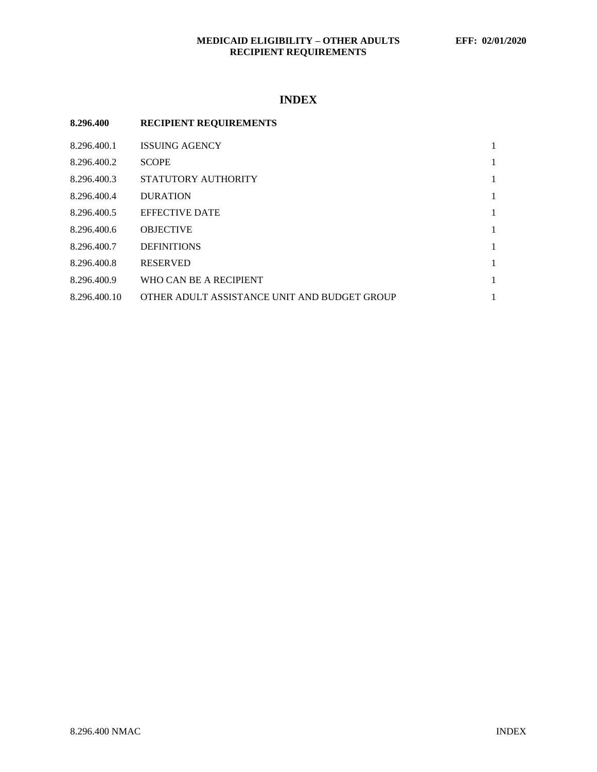## **MEDICAID ELIGIBILITY – OTHER ADULTS EFF: 02/01/2020 RECIPIENT REQUIREMENTS**

## **INDEX**

# **8.296.400 RECIPIENT REQUIREMENTS**

| 8.296.400.1  | <b>ISSUING AGENCY</b>                        |   |
|--------------|----------------------------------------------|---|
| 8.296.400.2  | <b>SCOPE</b>                                 | 1 |
| 8.296.400.3  | STATUTORY AUTHORITY                          | 1 |
| 8.296.400.4  | <b>DURATION</b>                              | 1 |
| 8.296.400.5  | <b>EFFECTIVE DATE</b>                        |   |
| 8.296.400.6  | <b>OBJECTIVE</b>                             | 1 |
| 8.296.400.7  | <b>DEFINITIONS</b>                           | 1 |
| 8.296.400.8  | <b>RESERVED</b>                              | 1 |
| 8.296.400.9  | WHO CAN BE A RECIPIENT                       | 1 |
| 8.296.400.10 | OTHER ADULT ASSISTANCE UNIT AND BUDGET GROUP |   |